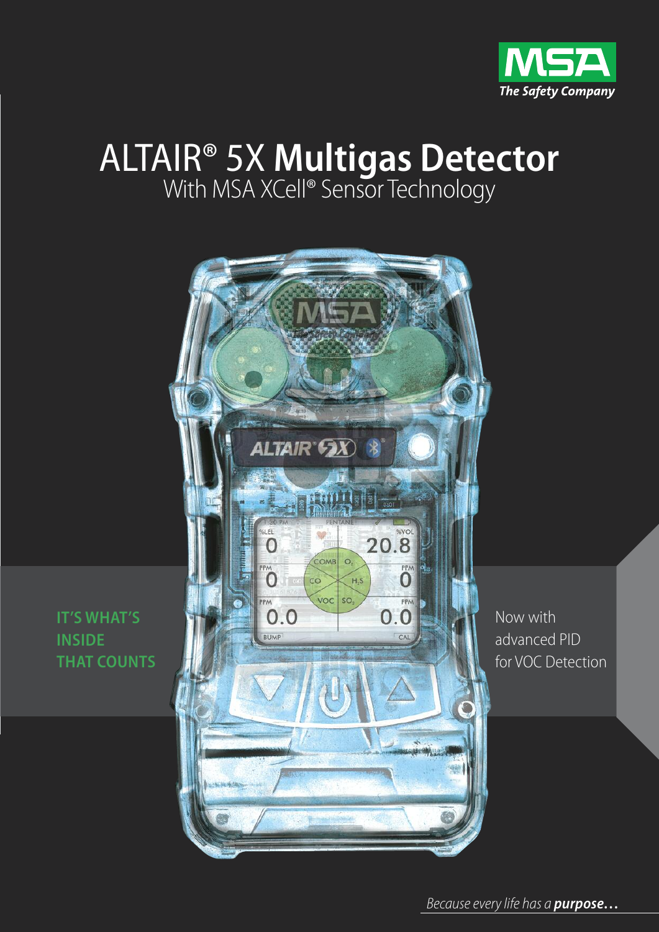

# ALTAIR® 5X **Multigas Detector** With MSA XCell® Sensor Technology



Now with advanced PID for VOC Detection

**IT'S WHAT'S INSIDE THAT COUNTS**

Because every life has a *purpose...*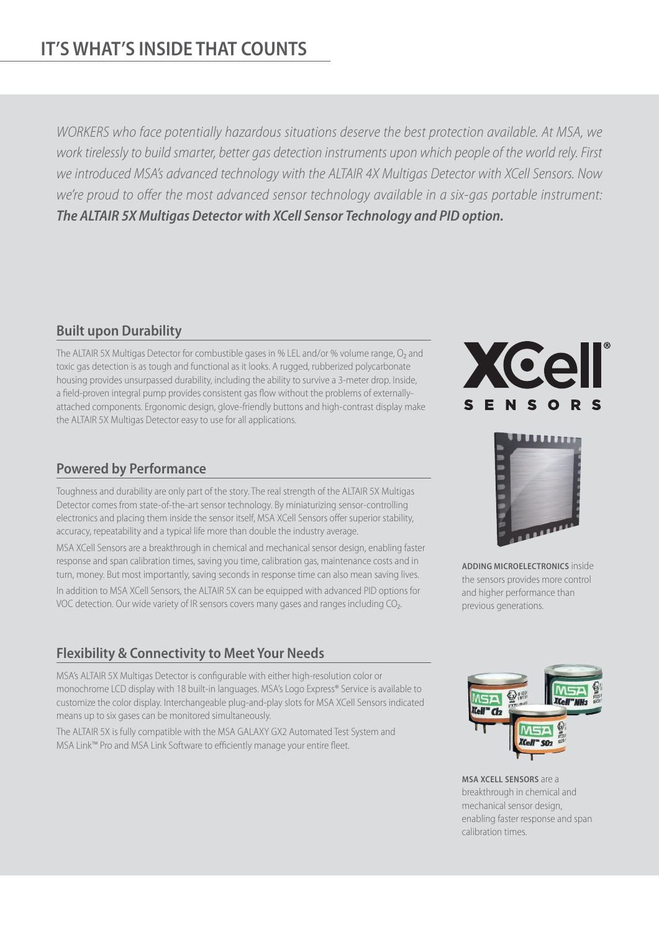# **IT'S WHAT'S INSIDE THAT COUNTS**

WORKERS who face potentially hazardous situations deserve the best protection available. At MSA, we work tirelessly to build smarter, better gas detection instruments upon which people of the world rely. First we introduced MSA's advanced technology with the ALTAIR 4X Multigas Detector with XCell Sensors. Now we're proud to offer the most advanced sensor technology available in a six-gas portable instrument: *The ALTAIR 5X Multigas Detector with XCell Sensor Technology and PID option.*

#### **Built upon Durability**

The ALTAIR 5X Multigas Detector for combustible gases in % LEL and/or % volume range, O<sub>2</sub> and toxic gas detection is as tough and functional as it looks. A rugged, rubberized polycarbonate housing provides unsurpassed durability, including the ability to survive a 3-meter drop. Inside, a field-proven integral pump provides consistent gas flow without the problems of externallyattached components. Ergonomic design, glove-friendly buttons and high-contrast display make the ALTAIR 5X Multigas Detector easy to use for all applications.

#### **Powered by Performance**

Toughness and durability are only part of the story. The real strength of the ALTAIR 5X Multigas Detector comes from state-of-the-art sensor technology. By miniaturizing sensor-controlling electronics and placing them inside the sensor itself, MSA XCell Sensors offer superior stability, accuracy, repeatability and a typical life more than double the industry average.

MSA XCell Sensors are a breakthrough in chemical and mechanical sensor design, enabling faster response and span calibration times, saving you time, calibration gas, maintenance costs and in turn, money. But most importantly, saving seconds in response time can also mean saving lives. In addition to MSA XCell Sensors, the ALTAIR 5X can be equipped with advanced PID options for VOC detection. Our wide variety of IR sensors covers many gases and ranges including CO<sub>2</sub>.

### **Flexibility & Connectivity to Meet Your Needs**

MSA's ALTAIR 5X Multigas Detector is configurable with either high-resolution color or monochrome LCD display with 18 built-in languages. MSA's Logo Express® Service is available to customize the color display. Interchangeable plug-and-play slots for MSA XCell Sensors indicated means up to six gases can be monitored simultaneously.

The ALTAIR 5X is fully compatible with the MSA GALAXY GX2 Automated Test System and MSA Link™ Pro and MSA Link Software to efficiently manage your entire fleet.





**ADDINg MICROELECTRONICS** inside the sensors provides more control and higher performance than previous generations.



**MSA XCELL SENSORS** are a breakthrough in chemical and mechanical sensor design, enabling faster response and span calibration times.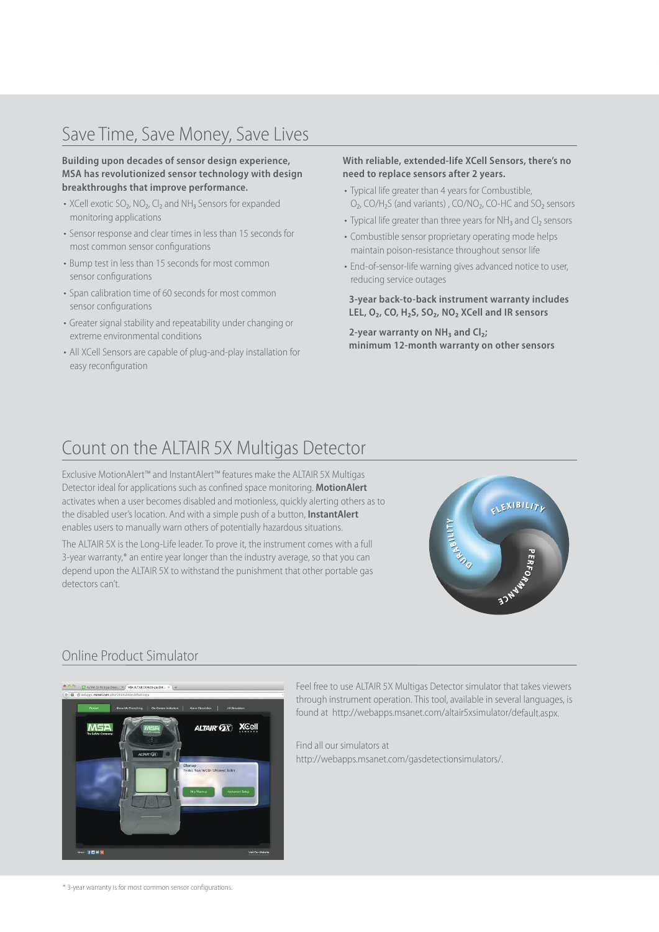# Save Time, Save Money, Save Lives

#### **Building upon decades of sensor design experience, MSA has revolutionized sensor technology with design breakthroughs that improve performance.**

- XCell exotic SO<sub>2</sub>, NO<sub>2</sub>, Cl<sub>2</sub> and NH<sub>3</sub> Sensors for expanded monitoring applications
- Sensor response and clear times in less than 15 seconds for most common sensor configurations
- Bump test in less than 15 seconds for most common sensor configurations
- Span calibration time of 60 seconds for most common sensor configurations
- Greater signal stability and repeatability under changing or extreme environmental conditions
- All XCell Sensors are capable of plug-and-play installation for easy reconfiguration

#### **With reliable, extended-life XCell Sensors, there's no need to replace sensors after 2 years.**

- Typical life greater than 4 years for Combustible, O<sub>2</sub>, CO/H<sub>2</sub>S (and variants), CO/NO<sub>2</sub>, CO-HC and SO<sub>2</sub> sensors
- Typical life greater than three years for NH<sub>3</sub> and Cl<sub>2</sub> sensors
- Combustible sensor proprietary operating mode helps maintain poison-resistance throughout sensor life
- End-of-sensor-life warning gives advanced notice to user, reducing service outages

**3-year back-to-back instrument warranty includes LEL, O₂, CO, H₂S, SO₂, NO₂ XCell and IR sensors**

**2-year warranty on NH₃ and Cl₂; minimum 12-month warranty on other sensors**

### Count on the ALTAIR 5X Multigas Detector

Exclusive MotionAlert™ and InstantAlert™ features make the ALTAIR 5X Multigas Detector ideal for applications such as confined space monitoring. **MotionAlert** activates when a user becomes disabled and motionless, quickly alerting others as to the disabled user's location. And with a simple push of a button, **InstantAlert** enables users to manually warn others of potentially hazardous situations.

The ALTAIR 5X is the Long-Life leader. To prove it, the instrument comes with a full 3-year warranty,\* an entire year longer than the industry average, so that you can depend upon the ALTAIR 5X to withstand the punishment that other portable gas detectors can't.



#### Online Product Simulator



Feel free to use ALTAIR 5X Multigas Detector simulator that takes viewers through instrument operation. This tool, available in several languages, is found at http://webapps.msanet.com/altair5xsimulator/default.aspx.

Find all our simulators at http://webapps.msanet.com/gasdetectionsimulators/.

\* 3-year warranty is for most common sensor configurations.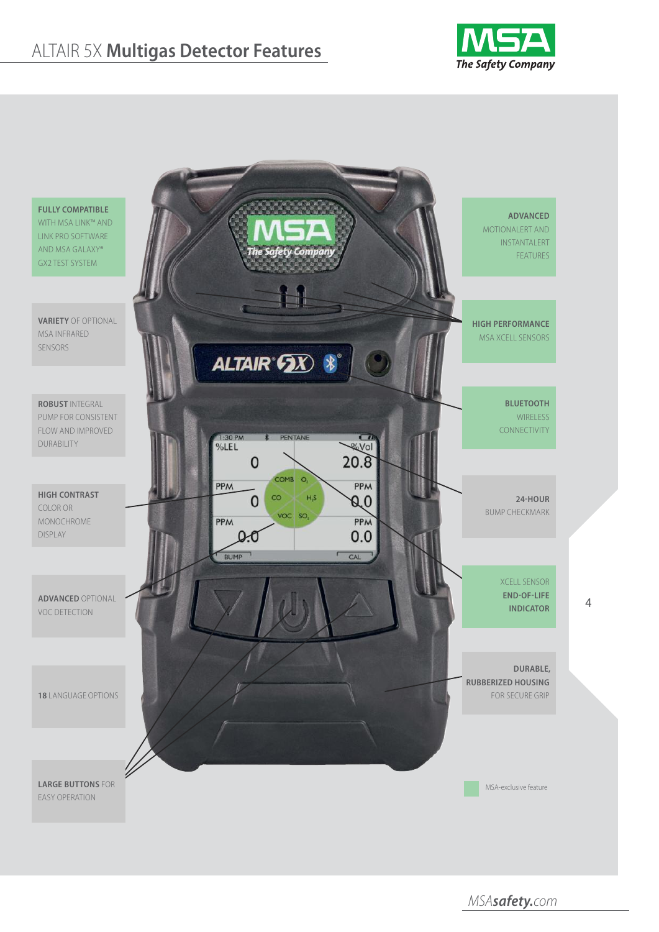# ALTAIR 5X **Multigas Detector Features**





MSA*safety.*com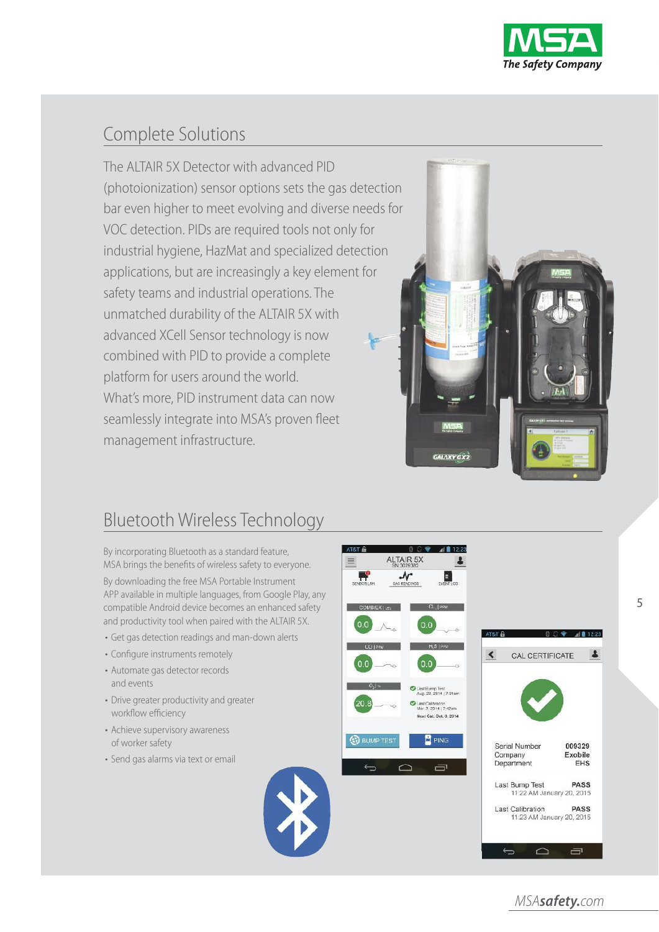

## Complete Solutions

The ALTAIR 5X Detector with advanced PID (photoionization) sensor options sets the gas detection bar even higher to meet evolving and diverse needs for VOC detection. PIDs are required tools not only for industrial hygiene, HazMat and specialized detection applications, but are increasingly a key element for safety teams and industrial operations. The unmatched durability of the ALTAIR 5X with advanced XCell Sensor technology is now combined with PID to provide a complete platform for users around the world. What's more, PID instrument data can now seamlessly integrate into MSA's proven fleet management infrastructure.



# Bluetooth Wireless Technology

By incorporating Bluetooth as a standard feature, MSA brings the benefits of wireless safety to everyone.

By downloading the free MSA Portable Instrument APP available in multiple languages, from Google Play, any compatible Android device becomes an enhanced safety and productivity tool when paired with the ALTAIR 5X.

- Get gas detection readings and man-down alerts
- Configure instruments remotely
- Automate gas detector records and events
- Drive greater productivity and greater workflow efficiency
- Achieve supervisory awareness of worker safety
- Send gas alarms via text or email





5

MSA*safety.*com